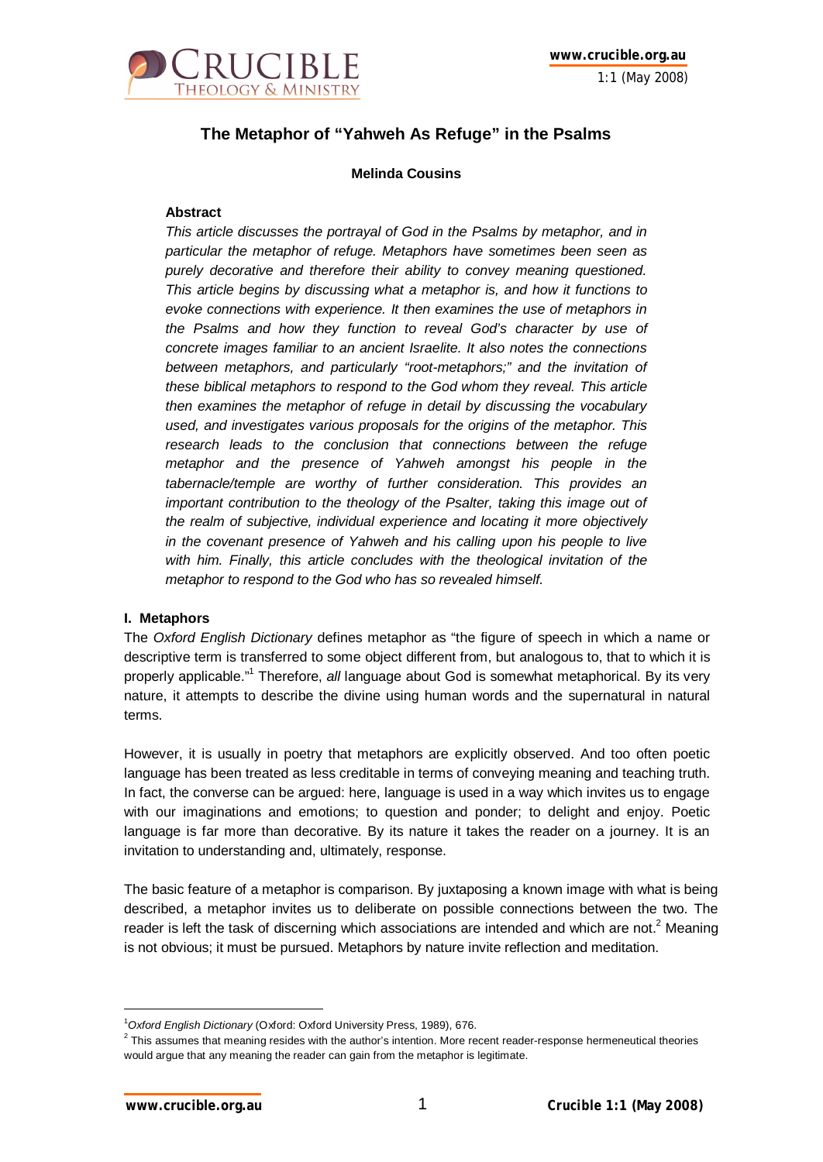

# **The Metaphor of "Yahweh As Refuge" in the Psalms**

# **Melinda Cousins**

# **Abstract**

*This article discusses the portrayal of God in the Psalms by metaphor, and in particular the metaphor of refuge. Metaphors have sometimes been seen as purely decorative and therefore their ability to convey meaning questioned. This article begins by discussing what a metaphor is, and how it functions to evoke connections with experience. It then examines the use of metaphors in the Psalms and how they function to reveal God's character by use of concrete images familiar to an ancient Israelite. It also notes the connections between metaphors, and particularly "root-metaphors;" and the invitation of these biblical metaphors to respond to the God whom they reveal. This article then examines the metaphor of refuge in detail by discussing the vocabulary used, and investigates various proposals for the origins of the metaphor. This research leads to the conclusion that connections between the refuge metaphor and the presence of Yahweh amongst his people in the tabernacle/temple are worthy of further consideration. This provides an important contribution to the theology of the Psalter, taking this image out of the realm of subjective, individual experience and locating it more objectively in the covenant presence of Yahweh and his calling upon his people to live with him. Finally, this article concludes with the theological invitation of the metaphor to respond to the God who has so revealed himself.*

#### **I. Metaphors**

The *Oxford English Dictionary* defines metaphor as "the figure of speech in which a name or descriptive term is transferred to some object different from, but analogous to, that to which it is properly applicable."<sup>1</sup> Therefore, *all* language about God is somewhat metaphorical. By its very nature, it attempts to describe the divine using human words and the supernatural in natural terms.

However, it is usually in poetry that metaphors are explicitly observed. And too often poetic language has been treated as less creditable in terms of conveying meaning and teaching truth. In fact, the converse can be argued: here, language is used in a way which invites us to engage with our imaginations and emotions; to question and ponder; to delight and enjoy. Poetic language is far more than decorative. By its nature it takes the reader on a journey. It is an invitation to understanding and, ultimately, response.

The basic feature of a metaphor is comparison. By juxtaposing a known image with what is being described, a metaphor invites us to deliberate on possible connections between the two. The reader is left the task of discerning which associations are intended and which are not.<sup>2</sup> Meaning is not obvious; it must be pursued. Metaphors by nature invite reflection and meditation.

<sup>1</sup>*Oxford English Dictionary* (Oxford: Oxford University Press, 1989), 676.

 $^2$  This assumes that meaning resides with the author's intention. More recent reader-response hermeneutical theories would argue that any meaning the reader can gain from the metaphor is legitimate.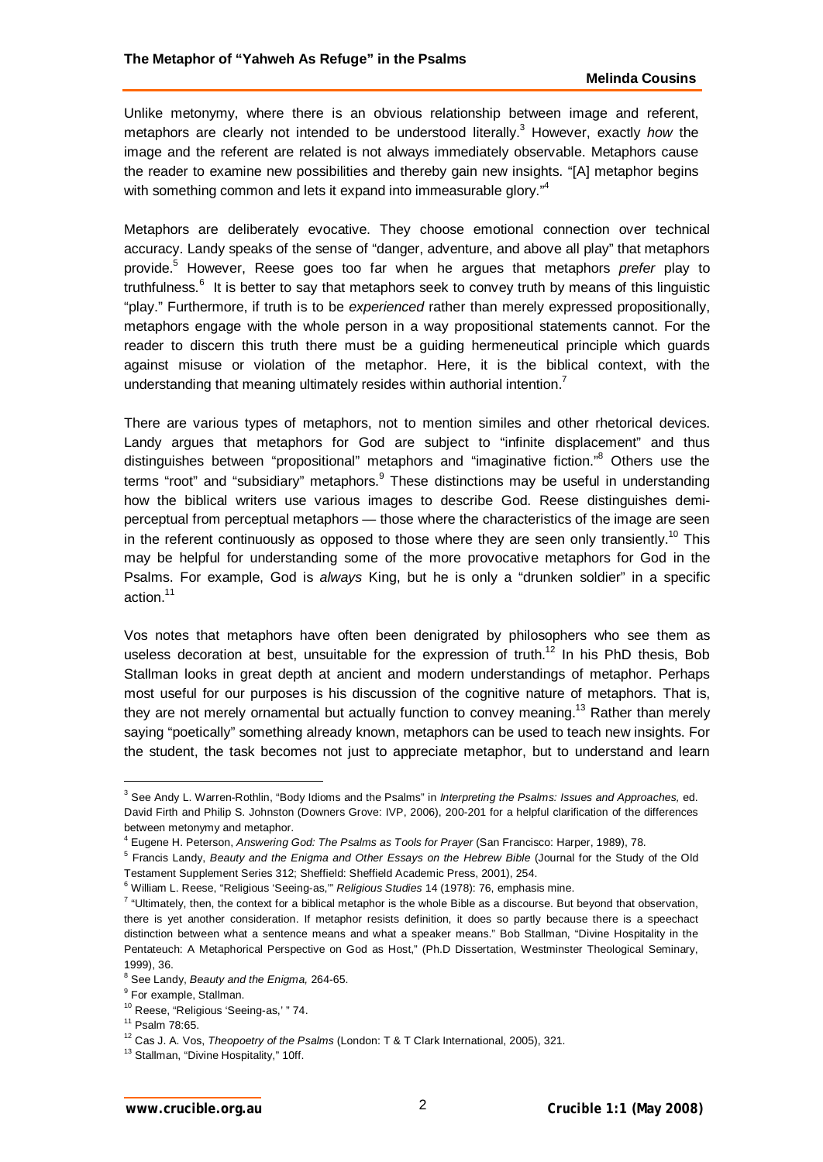Unlike metonymy, where there is an obvious relationship between image and referent, metaphors are clearly not intended to be understood literally.<sup>3</sup> However, exactly how the image and the referent are related is not always immediately observable. Metaphors cause the reader to examine new possibilities and thereby gain new insights. "[A] metaphor begins with something common and lets it expand into immeasurable glory."<sup>4</sup>

Metaphors are deliberately evocative. They choose emotional connection over technical accuracy. Landy speaks of the sense of "danger, adventure, and above all play" that metaphors provide.<sup>5</sup> However, Reese goes too far when he argues that metaphors *prefer* play to truthfulness.<sup>6</sup> It is better to say that metaphors seek to convey truth by means of this linguistic "play." Furthermore, if truth is to be *experienced* rather than merely expressed propositionally, metaphors engage with the whole person in a way propositional statements cannot. For the reader to discern this truth there must be a guiding hermeneutical principle which guards against misuse or violation of the metaphor. Here, it is the biblical context, with the understanding that meaning ultimately resides within authorial intention.<sup>7</sup>

There are various types of metaphors, not to mention similes and other rhetorical devices. Landy argues that metaphors for God are subject to "infinite displacement" and thus distinguishes between "propositional" metaphors and "imaginative fiction."<sup>8</sup> Others use the terms "root" and "subsidiary" metaphors. These distinctions may be useful in understanding how the biblical writers use various images to describe God. Reese distinguishes demiperceptual from perceptual metaphors — those where the characteristics of the image are seen in the referent continuously as opposed to those where they are seen only transiently.<sup>10</sup> This may be helpful for understanding some of the more provocative metaphors for God in the Psalms. For example, God is *always* King, but he is only a "drunken soldier" in a specific action<sup>11</sup>

Vos notes that metaphors have often been denigrated by philosophers who see them as useless decoration at best, unsuitable for the expression of truth.<sup>12</sup> In his PhD thesis, Bob Stallman looks in great depth at ancient and modern understandings of metaphor. Perhaps most useful for our purposes is his discussion of the cognitive nature of metaphors. That is, they are not merely ornamental but actually function to convey meaning.<sup>13</sup> Rather than merely saying "poetically" something already known, metaphors can be used to teach new insights. For the student, the task becomes not just to appreciate metaphor, but to understand and learn

<sup>3</sup> See Andy L. Warren-Rothlin, "Body Idioms and the Psalms" in *Interpreting the Psalms: Issues and Approaches,* ed. David Firth and Philip S. Johnston (Downers Grove: IVP, 2006), 200-201 for a helpful clarification of the differences between metonymy and metaphor.

<sup>4</sup> Eugene H. Peterson, *Answering God: The Psalms as Tools for Prayer* (San Francisco: Harper, 1989), 78.

<sup>5</sup> Francis Landy, *Beauty and the Enigma and Other Essays on the Hebrew Bible* (Journal for the Study of the Old Testament Supplement Series 312; Sheffield: Sheffield Academic Press, 2001), 254.

<sup>&</sup>lt;sup>6</sup> William L. Reese, "Religious 'Seeing-as,"' *Religious Studies* 14 (1978): 76, emphasis mine.

<sup>&</sup>lt;sup>7</sup> "Ultimately, then, the context for a biblical metaphor is the whole Bible as a discourse. But beyond that observation, there is yet another consideration. If metaphor resists definition, it does so partly because there is a speechact distinction between what a sentence means and what a speaker means." Bob Stallman, "Divine Hospitality in the Pentateuch: A Metaphorical Perspective on God as Host," (Ph.D Dissertation, Westminster Theological Seminary, 1999), 36.

<sup>8</sup> See Landy, *Beauty and the Enigma,* 264-65.

<sup>&</sup>lt;sup>9</sup> For example, Stallman.

<sup>&</sup>lt;sup>10</sup> Reese, "Religious 'Seeing-as,' " 74.

<sup>11</sup> Psalm 78:65.

<sup>12</sup> Cas J. A. Vos, *Theopoetry of the Psalms* (London: T & T Clark International, 2005), 321.

<sup>&</sup>lt;sup>13</sup> Stallman, "Divine Hospitality," 10ff.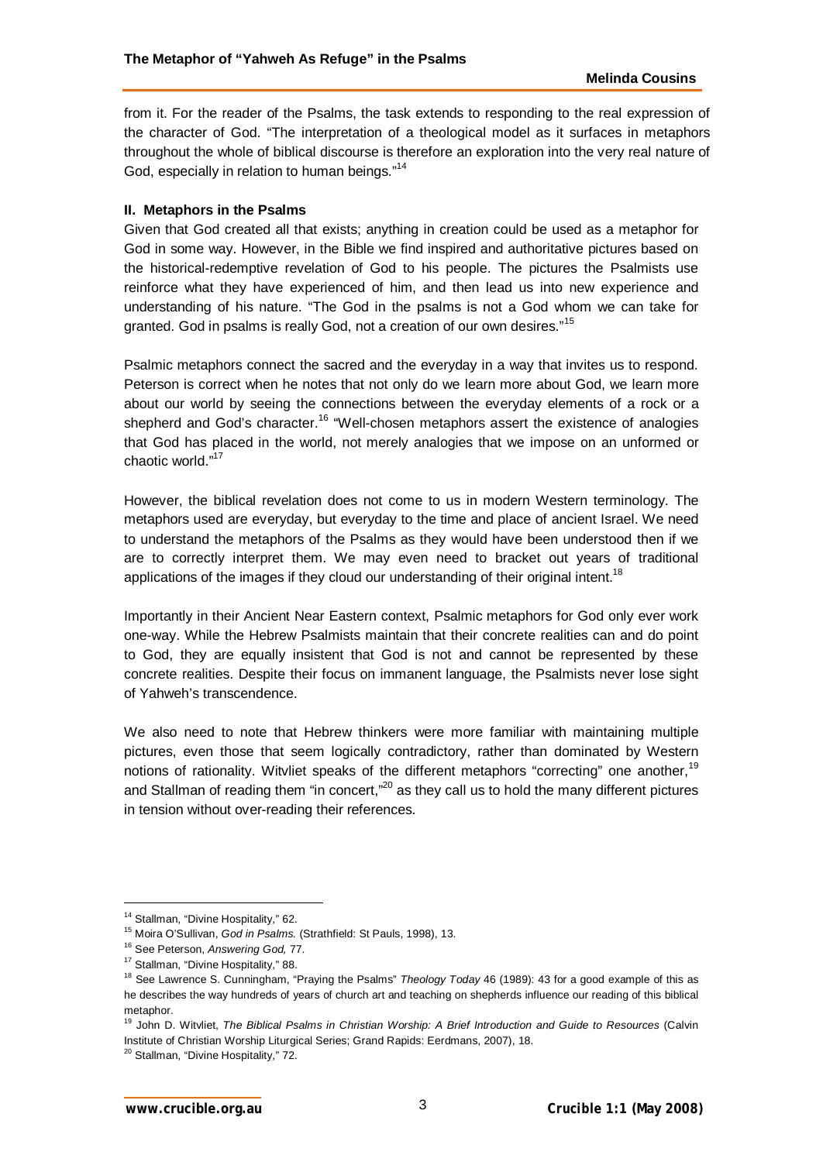from it. For the reader of the Psalms, the task extends to responding to the real expression of the character of God. "The interpretation of a theological model as it surfaces in metaphors throughout the whole of biblical discourse is therefore an exploration into the very real nature of God, especially in relation to human beings."<sup>14</sup>

# **II. Metaphors in the Psalms**

Given that God created all that exists; anything in creation could be used as a metaphor for God in some way. However, in the Bible we find inspired and authoritative pictures based on the historical-redemptive revelation of God to his people. The pictures the Psalmists use reinforce what they have experienced of him, and then lead us into new experience and understanding of his nature. "The God in the psalms is not a God whom we can take for granted. God in psalms is really God, not a creation of our own desires."<sup>15</sup>

Psalmic metaphors connect the sacred and the everyday in a way that invites us to respond. Peterson is correct when he notes that not only do we learn more about God, we learn more about our world by seeing the connections between the everyday elements of a rock or a shepherd and God's character.<sup>16</sup> "Well-chosen metaphors assert the existence of analogies that God has placed in the world, not merely analogies that we impose on an unformed or chaotic world."<sup>17</sup>

However, the biblical revelation does not come to us in modern Western terminology. The metaphors used are everyday, but everyday to the time and place of ancient Israel. We need to understand the metaphors of the Psalms as they would have been understood then if we are to correctly interpret them. We may even need to bracket out years of traditional applications of the images if they cloud our understanding of their original intent.<sup>18</sup>

Importantly in their Ancient Near Eastern context, Psalmic metaphors for God only ever work one-way. While the Hebrew Psalmists maintain that their concrete realities can and do point to God, they are equally insistent that God is not and cannot be represented by these concrete realities. Despite their focus on immanent language, the Psalmists never lose sight of Yahweh's transcendence.

We also need to note that Hebrew thinkers were more familiar with maintaining multiple pictures, even those that seem logically contradictory, rather than dominated by Western notions of rationality. Witvliet speaks of the different metaphors "correcting" one another,<sup>19</sup> and Stallman of reading them "in concert,"<sup>20</sup> as they call us to hold the many different pictures in tension without over-reading their references.

<sup>&</sup>lt;sup>14</sup> Stallman, "Divine Hospitality," 62.

<sup>15</sup> Moira O'Sullivan, *God in Psalms.* (Strathfield: St Pauls, 1998), 13.

<sup>16</sup> See Peterson, *Answering God,* 77.

<sup>&</sup>lt;sup>17</sup> Stallman, "Divine Hospitality," 88.

<sup>18</sup> See Lawrence S. Cunningham, "Praying the Psalms" *Theology Today* 46 (1989): 43 for a good example of this as he describes the way hundreds of years of church art and teaching on shepherds influence our reading of this biblical metaphor.

<sup>19</sup> John D. Witvliet, *The Biblical Psalms in Christian Worship: A Brief Introduction and Guide to Resources* (Calvin Institute of Christian Worship Liturgical Series; Grand Rapids: Eerdmans, 2007), 18.

<sup>&</sup>lt;sup>20</sup> Stallman, "Divine Hospitality," 72.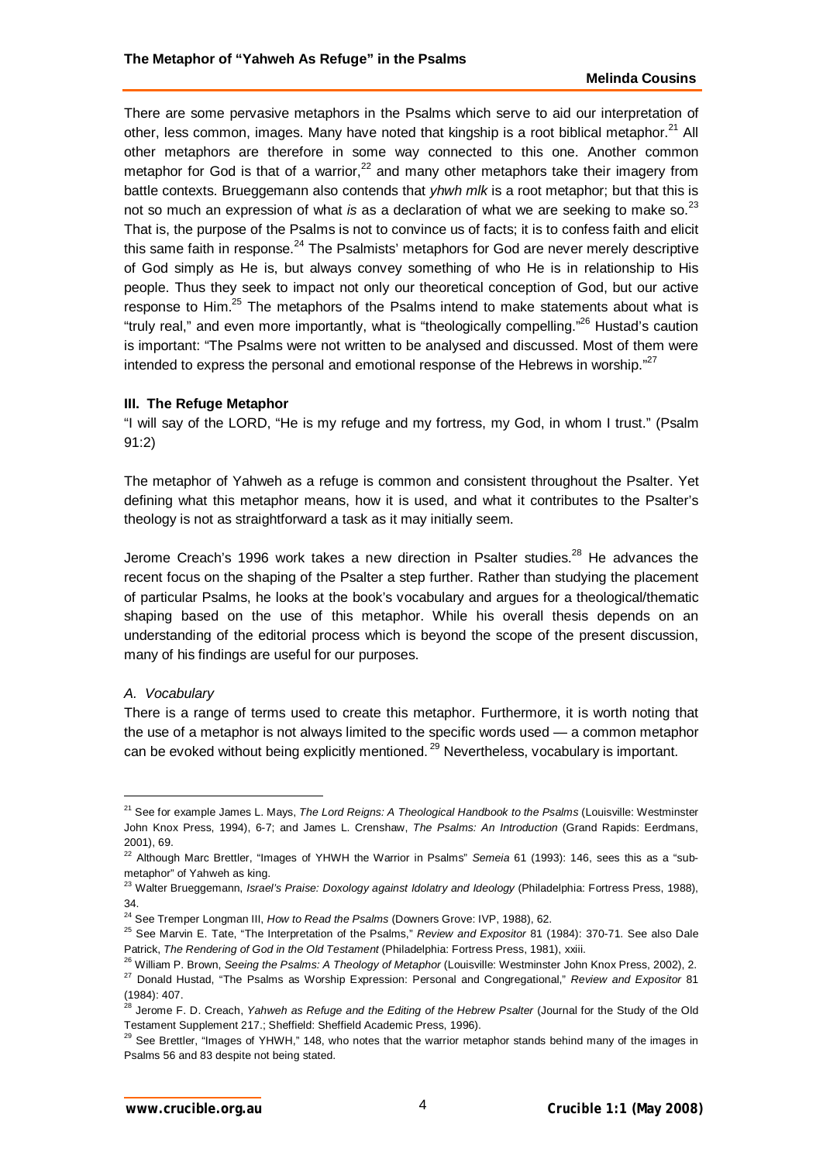There are some pervasive metaphors in the Psalms which serve to aid our interpretation of other, less common, images. Many have noted that kingship is a root biblical metaphor. $^{21}$  All other metaphors are therefore in some way connected to this one. Another common metaphor for God is that of a warrior,<sup>22</sup> and many other metaphors take their imagery from battle contexts. Brueggemann also contends that *yhwh mlk* is a root metaphor; but that this is not so much an expression of what *is* as a declaration of what we are seeking to make so.<sup>23</sup> That is, the purpose of the Psalms is not to convince us of facts; it is to confess faith and elicit this same faith in response. $24$  The Psalmists' metaphors for God are never merely descriptive of God simply as He is, but always convey something of who He is in relationship to His people. Thus they seek to impact not only our theoretical conception of God, but our active response to Him.<sup>25</sup> The metaphors of the Psalms intend to make statements about what is "truly real," and even more importantly, what is "theologically compelling."<sup>26</sup> Hustad's caution is important: "The Psalms were not written to be analysed and discussed. Most of them were intended to express the personal and emotional response of the Hebrews in worship."<sup>27</sup>

#### **III. The Refuge Metaphor**

"I will say of the LORD, "He is my refuge and my fortress, my God, in whom I trust." (Psalm 91:2)

The metaphor of Yahweh as a refuge is common and consistent throughout the Psalter. Yet defining what this metaphor means, how it is used, and what it contributes to the Psalter's theology is not as straightforward a task as it may initially seem.

Jerome Creach's 1996 work takes a new direction in Psalter studies.<sup>28</sup> He advances the recent focus on the shaping of the Psalter a step further. Rather than studying the placement of particular Psalms, he looks at the book's vocabulary and argues for a theological/thematic shaping based on the use of this metaphor. While his overall thesis depends on an understanding of the editorial process which is beyond the scope of the present discussion, many of his findings are useful for our purposes.

#### *A. Vocabulary*

 $\overline{a}$ 

There is a range of terms used to create this metaphor. Furthermore, it is worth noting that the use of a metaphor is not always limited to the specific words used — a common metaphor can be evoked without being explicitly mentioned.<sup>29</sup> Nevertheless, vocabulary is important.

<sup>21</sup> See for example James L. Mays, *The Lord Reigns: A Theological Handbook to the Psalms* (Louisville: Westminster John Knox Press, 1994), 6-7; and James L. Crenshaw, *The Psalms: An Introduction* (Grand Rapids: Eerdmans, 2001), 69.

<sup>&</sup>lt;sup>22</sup> Although Marc Brettler, "Images of YHWH the Warrior in Psalms" Semeia 61 (1993): 146, sees this as a "submetaphor" of Yahweh as king.

<sup>23</sup> Walter Brueggemann, *Israel's Praise: Doxology against Idolatry and Ideology* (Philadelphia: Fortress Press, 1988), 34.

<sup>24</sup> See Tremper Longman III, *How to Read the Psalms* (Downers Grove: IVP, 1988), 62.

<sup>25</sup> See Marvin E. Tate, "The Interpretation of the Psalms," *Review and Expositor* 81 (1984): 370-71. See also Dale Patrick, *The Rendering of God in the Old Testament* (Philadelphia: Fortress Press, 1981), xxiii.

<sup>26</sup> William P. Brown, *Seeing the Psalms: A Theology of Metaphor* (Louisville: Westminster John Knox Press, 2002), 2. <sup>27</sup> Donald Hustad, "The Psalms as Worship Expression: Personal and Congregational," *Review and Expositor* 81 (1984): 407.

<sup>&</sup>lt;sup>28</sup> Jerome F. D. Creach, Yahweh as Refuge and the Editing of the Hebrew Psalter (Journal for the Study of the Old Testament Supplement 217.; Sheffield: Sheffield Academic Press, 1996).

 $29$  See Brettler, "Images of YHWH," 148, who notes that the warrior metaphor stands behind many of the images in Psalms 56 and 83 despite not being stated.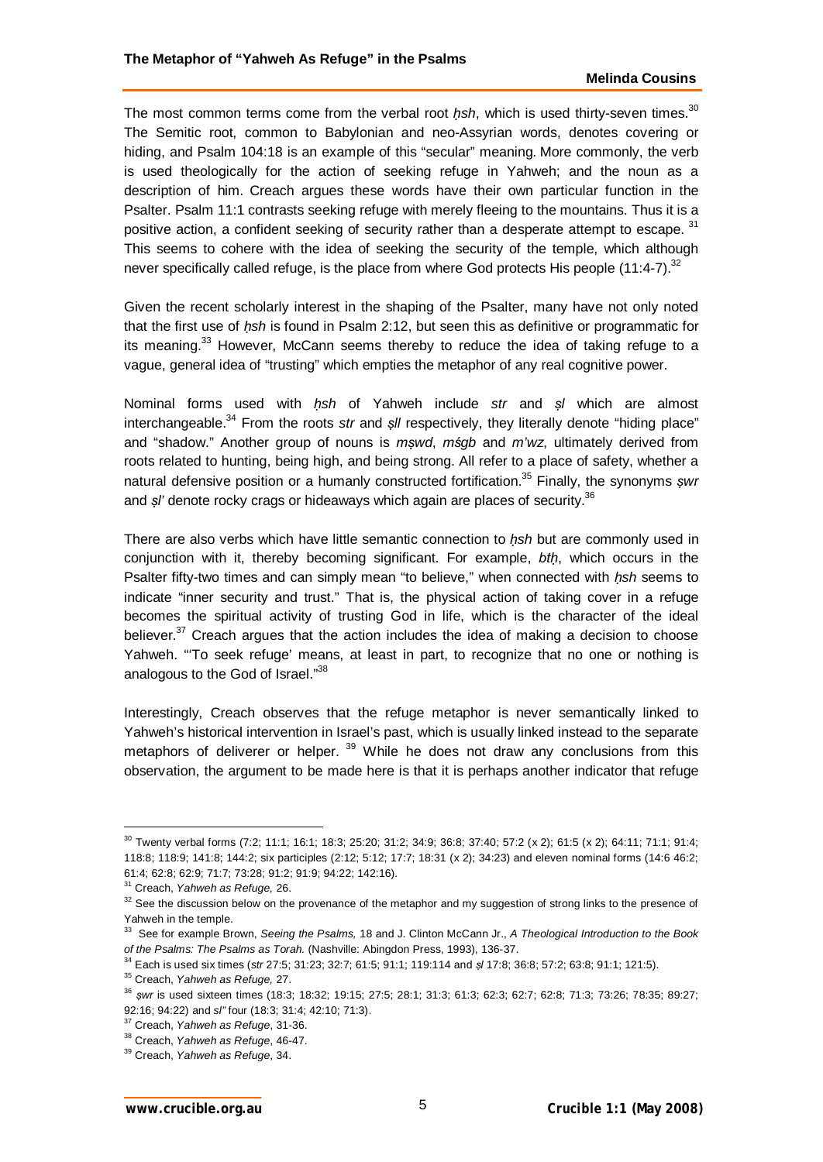The most common terms come from the verbal root *ḥsh*, which is used thirty-seven times.<sup>30</sup> The Semitic root, common to Babylonian and neo-Assyrian words, denotes covering or hiding, and Psalm 104:18 is an example of this "secular" meaning. More commonly, the verb is used theologically for the action of seeking refuge in Yahweh; and the noun as a description of him. Creach argues these words have their own particular function in the Psalter. Psalm 11:1 contrasts seeking refuge with merely fleeing to the mountains. Thus it is a positive action, a confident seeking of security rather than a desperate attempt to escape. 31 This seems to cohere with the idea of seeking the security of the temple, which although never specifically called refuge, is the place from where God protects His people  $(11:4-7)^{32}$ 

Given the recent scholarly interest in the shaping of the Psalter, many have not only noted that the first use of *ḥsh* is found in Psalm 2:12, but seen this as definitive or programmatic for its meaning.<sup>33</sup> However, McCann seems thereby to reduce the idea of taking refuge to a vague, general idea of "trusting" which empties the metaphor of any real cognitive power.

Nominal forms used with *ḥsh* of Yahweh include *str* and *ṣl* which are almost interchangeable.<sup>34</sup> From the roots *str* and *sll* respectively, they literally denote "hiding place" and "shadow." Another group of nouns is *mṣwd*, *mśgb* and *m'wz*, ultimately derived from roots related to hunting, being high, and being strong. All refer to a place of safety, whether a natural defensive position or a humanly constructed fortification.<sup>35</sup> Finally, the synonyms *ṣwr* and *sl'* denote rocky crags or hideaways which again are places of security.<sup>36</sup>

There are also verbs which have little semantic connection to *ḥsh* but are commonly used in conjunction with it, thereby becoming significant. For example, *btḥ*, which occurs in the Psalter fifty-two times and can simply mean "to believe," when connected with *ḥsh* seems to indicate "inner security and trust." That is, the physical action of taking cover in a refuge becomes the spiritual activity of trusting God in life, which is the character of the ideal believer. $37$  Creach argues that the action includes the idea of making a decision to choose Yahweh. "'To seek refuge' means, at least in part, to recognize that no one or nothing is analogous to the God of Israel."<sup>38</sup>

Interestingly, Creach observes that the refuge metaphor is never semantically linked to Yahweh's historical intervention in Israel's past, which is usually linked instead to the separate metaphors of deliverer or helper.<sup>39</sup> While he does not draw any conclusions from this observation, the argument to be made here is that it is perhaps another indicator that refuge

<sup>30</sup> Twenty verbal forms (7:2; 11:1; 16:1; 18:3; 25:20; 31:2; 34:9; 36:8; 37:40; 57:2 (x 2); 61:5 (x 2); 64:11; 71:1; 91:4; 118:8; 118:9; 141:8; 144:2; six participles (2:12; 5:12; 17:7; 18:31 (x 2); 34:23) and eleven nominal forms (14:6 46:2; 61:4; 62:8; 62:9; 71:7; 73:28; 91:2; 91:9; 94:22; 142:16).

<sup>31</sup> Creach, *Yahweh as Refuge,* 26.

<sup>&</sup>lt;sup>32</sup> See the discussion below on the provenance of the metaphor and my suggestion of strong links to the presence of Yahweh in the temple.

<sup>33</sup> See for example Brown, *Seeing the Psalms,* 18 and J. Clinton McCann Jr., *A Theological Introduction to the Book of the Psalms: The Psalms as Torah.* (Nashville: Abingdon Press, 1993), 136-37.

<sup>34</sup> Each is used six times (*str* 27:5; 31:23; 32:7; 61:5; 91:1; 119:114 and *ṣl* 17:8; 36:8; 57:2; 63:8; 91:1; 121:5).

<sup>35</sup> Creach, *Yahweh as Refuge,* 27.

<sup>36</sup> *ṣwr* is used sixteen times (18:3; 18:32; 19:15; 27:5; 28:1; 31:3; 61:3; 62:3; 62:7; 62:8; 71:3; 73:26; 78:35; 89:27; 92:16; 94:22) and *sl"* four (18:3; 31:4; 42:10; 71:3).

<sup>37</sup> Creach, *Yahweh as Refuge*, 31-36.

<sup>38</sup> Creach, *Yahweh as Refuge*, 46-47.

<sup>39</sup> Creach, *Yahweh as Refuge*, 34.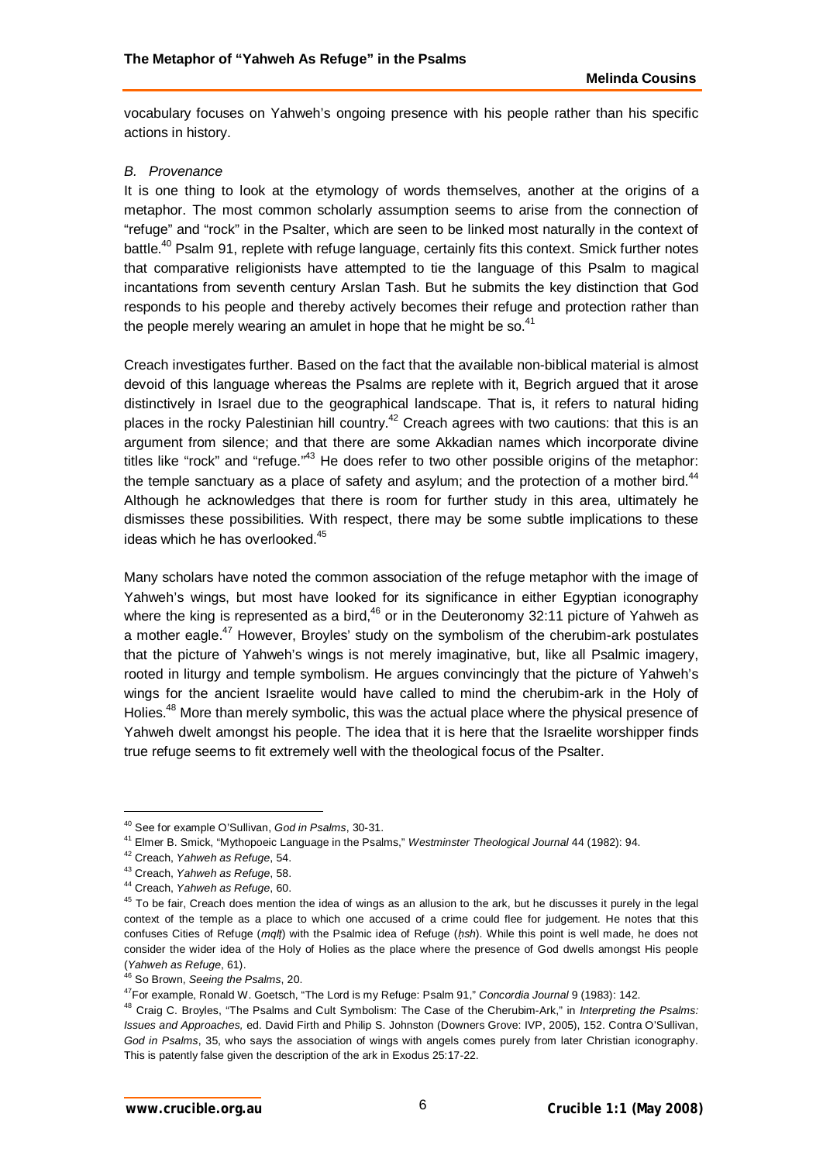vocabulary focuses on Yahweh's ongoing presence with his people rather than his specific actions in history.

# *B. Provenance*

It is one thing to look at the etymology of words themselves, another at the origins of a metaphor. The most common scholarly assumption seems to arise from the connection of "refuge" and "rock" in the Psalter, which are seen to be linked most naturally in the context of battle.<sup>40</sup> Psalm 91, replete with refuge language, certainly fits this context. Smick further notes that comparative religionists have attempted to tie the language of this Psalm to magical incantations from seventh century Arslan Tash. But he submits the key distinction that God responds to his people and thereby actively becomes their refuge and protection rather than the people merely wearing an amulet in hope that he might be so. $41$ 

Creach investigates further. Based on the fact that the available non-biblical material is almost devoid of this language whereas the Psalms are replete with it, Begrich argued that it arose distinctively in Israel due to the geographical landscape. That is, it refers to natural hiding places in the rocky Palestinian hill country.<sup>42</sup> Creach agrees with two cautions: that this is an argument from silence; and that there are some Akkadian names which incorporate divine titles like "rock" and "refuge."<sup>43</sup> He does refer to two other possible origins of the metaphor: the temple sanctuary as a place of safety and asylum; and the protection of a mother bird.<sup>44</sup> Although he acknowledges that there is room for further study in this area, ultimately he dismisses these possibilities. With respect, there may be some subtle implications to these ideas which he has overlooked.<sup>45</sup>

Many scholars have noted the common association of the refuge metaphor with the image of Yahweh's wings, but most have looked for its significance in either Egyptian iconography where the king is represented as a bird, $46$  or in the Deuteronomy 32:11 picture of Yahweh as a mother eagle.<sup>47</sup> However, Broyles' study on the symbolism of the cherubim-ark postulates that the picture of Yahweh's wings is not merely imaginative, but, like all Psalmic imagery, rooted in liturgy and temple symbolism. He argues convincingly that the picture of Yahweh's wings for the ancient Israelite would have called to mind the cherubim-ark in the Holy of Holies.<sup>48</sup> More than merely symbolic, this was the actual place where the physical presence of Yahweh dwelt amongst his people. The idea that it is here that the Israelite worshipper finds true refuge seems to fit extremely well with the theological focus of the Psalter.

<sup>40</sup> See for example O'Sullivan, *God in Psalms*, 30-31.

<sup>41</sup> Elmer B. Smick, "Mythopoeic Language in the Psalms," *Westminster Theological Journal* 44 (1982): 94.

<sup>42</sup> Creach, *Yahweh as Refuge*, 54.

<sup>43</sup> Creach, *Yahweh as Refuge*, 58.

<sup>44</sup> Creach, *Yahweh as Refuge*, 60.

<sup>&</sup>lt;sup>45</sup> To be fair, Creach does mention the idea of wings as an allusion to the ark, but he discusses it purely in the legal context of the temple as a place to which one accused of a crime could flee for judgement. He notes that this confuses Cities of Refuge (*mqlṭ*) with the Psalmic idea of Refuge (*ḥsh*). While this point is well made, he does not consider the wider idea of the Holy of Holies as the place where the presence of God dwells amongst His people (*Yahweh as Refuge*, 61).

<sup>46</sup> So Brown, *Seeing the Psalms*, 20.

<sup>47</sup>For example, Ronald W. Goetsch, "The Lord is my Refuge: Psalm 91," *Concordia Journal* 9 (1983): 142.

<sup>48</sup> Craig C. Broyles, "The Psalms and Cult Symbolism: The Case of the Cherubim-Ark," in *Interpreting the Psalms: Issues and Approaches,* ed. David Firth and Philip S. Johnston (Downers Grove: IVP, 2005), 152. Contra O'Sullivan, *God in Psalms*, 35, who says the association of wings with angels comes purely from later Christian iconography. This is patently false given the description of the ark in Exodus 25:17-22.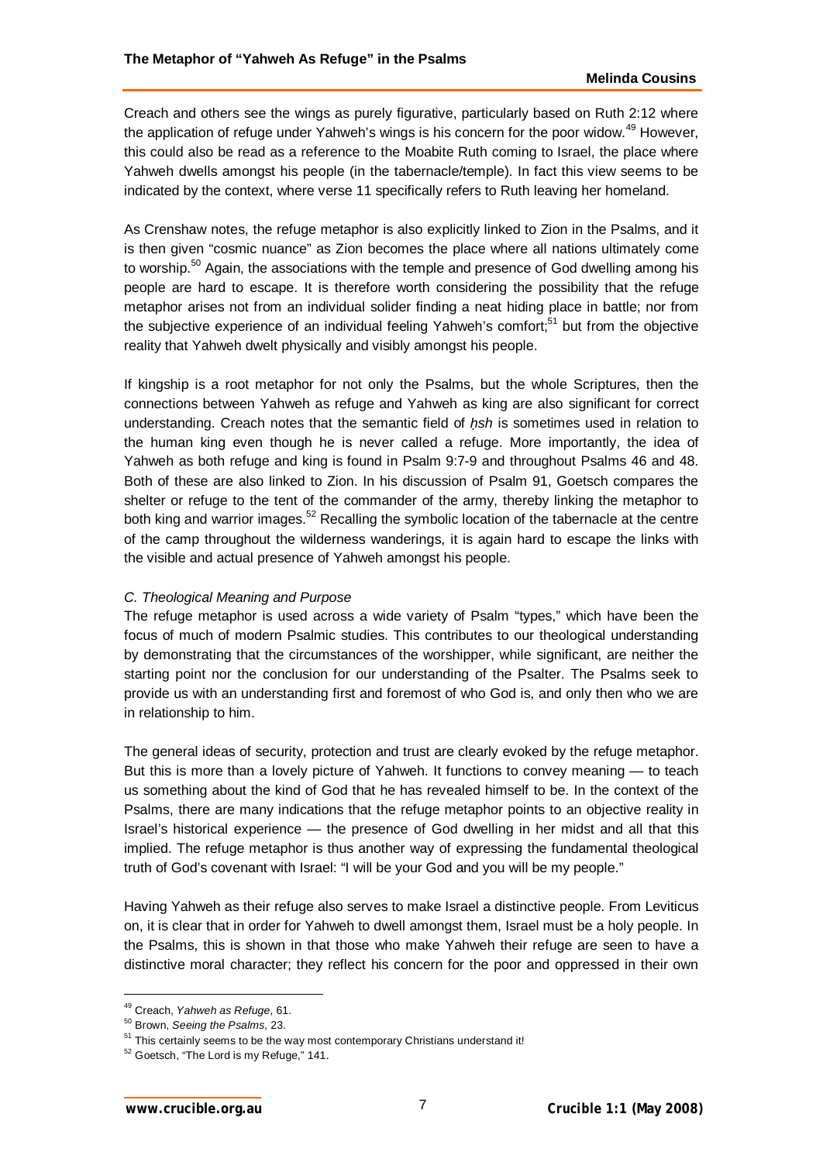Creach and others see the wings as purely figurative, particularly based on Ruth 2:12 where the application of refuge under Yahweh's wings is his concern for the poor widow.<sup>49</sup> However. this could also be read as a reference to the Moabite Ruth coming to Israel, the place where Yahweh dwells amongst his people (in the tabernacle/temple). In fact this view seems to be indicated by the context, where verse 11 specifically refers to Ruth leaving her homeland.

As Crenshaw notes, the refuge metaphor is also explicitly linked to Zion in the Psalms, and it is then given "cosmic nuance" as Zion becomes the place where all nations ultimately come to worship. $50$  Again, the associations with the temple and presence of God dwelling among his people are hard to escape. It is therefore worth considering the possibility that the refuge metaphor arises not from an individual solider finding a neat hiding place in battle; nor from the subjective experience of an individual feeling Yahweh's comfort;<sup>51</sup> but from the objective reality that Yahweh dwelt physically and visibly amongst his people.

If kingship is a root metaphor for not only the Psalms, but the whole Scriptures, then the connections between Yahweh as refuge and Yahweh as king are also significant for correct understanding. Creach notes that the semantic field of *ḥsh* is sometimes used in relation to the human king even though he is never called a refuge. More importantly, the idea of Yahweh as both refuge and king is found in Psalm 9:7-9 and throughout Psalms 46 and 48. Both of these are also linked to Zion. In his discussion of Psalm 91, Goetsch compares the shelter or refuge to the tent of the commander of the army, thereby linking the metaphor to both king and warrior images.<sup>52</sup> Recalling the symbolic location of the tabernacle at the centre of the camp throughout the wilderness wanderings, it is again hard to escape the links with the visible and actual presence of Yahweh amongst his people.

# *C. Theological Meaning and Purpose*

The refuge metaphor is used across a wide variety of Psalm "types," which have been the focus of much of modern Psalmic studies. This contributes to our theological understanding by demonstrating that the circumstances of the worshipper, while significant, are neither the starting point nor the conclusion for our understanding of the Psalter. The Psalms seek to provide us with an understanding first and foremost of who God is, and only then who we are in relationship to him.

The general ideas of security, protection and trust are clearly evoked by the refuge metaphor. But this is more than a lovely picture of Yahweh. It functions to convey meaning — to teach us something about the kind of God that he has revealed himself to be. In the context of the Psalms, there are many indications that the refuge metaphor points to an objective reality in Israel's historical experience — the presence of God dwelling in her midst and all that this implied. The refuge metaphor is thus another way of expressing the fundamental theological truth of God's covenant with Israel: "I will be your God and you will be my people."

Having Yahweh as their refuge also serves to make Israel a distinctive people. From Leviticus on, it is clear that in order for Yahweh to dwell amongst them, Israel must be a holy people. In the Psalms, this is shown in that those who make Yahweh their refuge are seen to have a distinctive moral character; they reflect his concern for the poor and oppressed in their own

<sup>49</sup> Creach, *Yahweh as Refuge*, 61.

<sup>50</sup> Brown, *Seeing the Psalms*, 23.

<sup>&</sup>lt;sup>51</sup> This certainly seems to be the way most contemporary Christians understand it!

<sup>52</sup> Goetsch, "The Lord is my Refuge," 141.